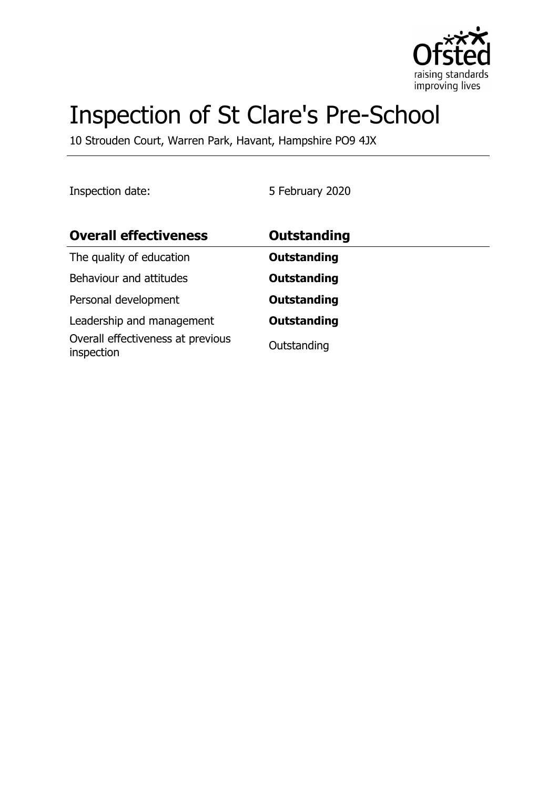

# Inspection of St Clare's Pre-School

10 Strouden Court, Warren Park, Havant, Hampshire PO9 4JX

Inspection date: 5 February 2020

| <b>Overall effectiveness</b>                    | <b>Outstanding</b> |
|-------------------------------------------------|--------------------|
| The quality of education                        | <b>Outstanding</b> |
| Behaviour and attitudes                         | <b>Outstanding</b> |
| Personal development                            | <b>Outstanding</b> |
| Leadership and management                       | <b>Outstanding</b> |
| Overall effectiveness at previous<br>inspection | Outstanding        |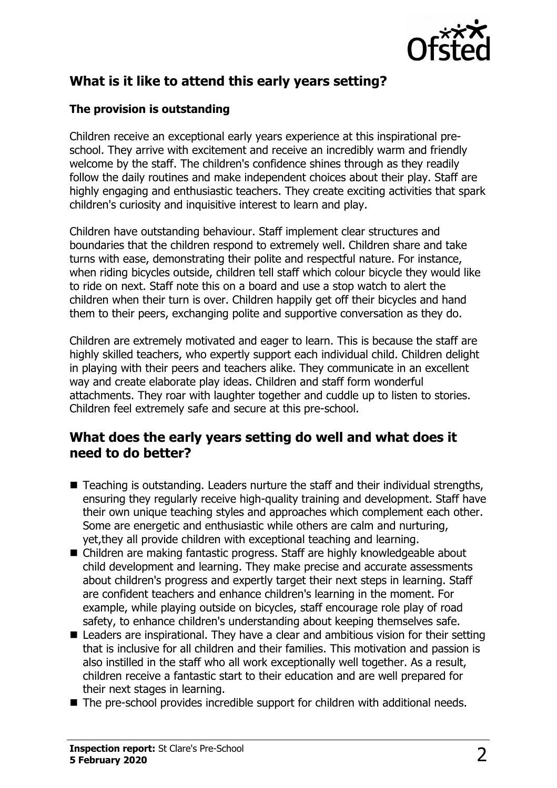

# **What is it like to attend this early years setting?**

#### **The provision is outstanding**

Children receive an exceptional early years experience at this inspirational preschool. They arrive with excitement and receive an incredibly warm and friendly welcome by the staff. The children's confidence shines through as they readily follow the daily routines and make independent choices about their play. Staff are highly engaging and enthusiastic teachers. They create exciting activities that spark children's curiosity and inquisitive interest to learn and play.

Children have outstanding behaviour. Staff implement clear structures and boundaries that the children respond to extremely well. Children share and take turns with ease, demonstrating their polite and respectful nature. For instance, when riding bicycles outside, children tell staff which colour bicycle they would like to ride on next. Staff note this on a board and use a stop watch to alert the children when their turn is over. Children happily get off their bicycles and hand them to their peers, exchanging polite and supportive conversation as they do.

Children are extremely motivated and eager to learn. This is because the staff are highly skilled teachers, who expertly support each individual child. Children delight in playing with their peers and teachers alike. They communicate in an excellent way and create elaborate play ideas. Children and staff form wonderful attachments. They roar with laughter together and cuddle up to listen to stories. Children feel extremely safe and secure at this pre-school.

#### **What does the early years setting do well and what does it need to do better?**

- $\blacksquare$  Teaching is outstanding. Leaders nurture the staff and their individual strengths, ensuring they regularly receive high-quality training and development. Staff have their own unique teaching styles and approaches which complement each other. Some are energetic and enthusiastic while others are calm and nurturing, yet,they all provide children with exceptional teaching and learning.
- Children are making fantastic progress. Staff are highly knowledgeable about child development and learning. They make precise and accurate assessments about children's progress and expertly target their next steps in learning. Staff are confident teachers and enhance children's learning in the moment. For example, while playing outside on bicycles, staff encourage role play of road safety, to enhance children's understanding about keeping themselves safe.
- $\blacksquare$  Leaders are inspirational. They have a clear and ambitious vision for their setting that is inclusive for all children and their families. This motivation and passion is also instilled in the staff who all work exceptionally well together. As a result, children receive a fantastic start to their education and are well prepared for their next stages in learning.
- $\blacksquare$  The pre-school provides incredible support for children with additional needs.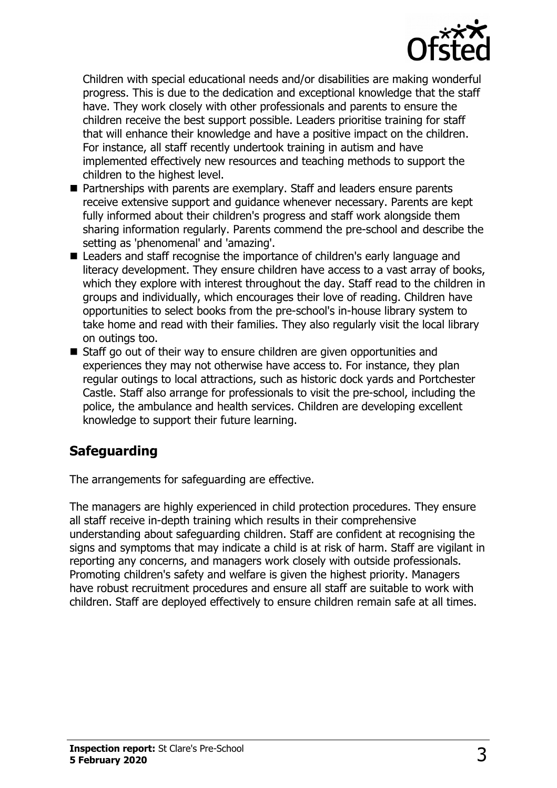

Children with special educational needs and/or disabilities are making wonderful progress. This is due to the dedication and exceptional knowledge that the staff have. They work closely with other professionals and parents to ensure the children receive the best support possible. Leaders prioritise training for staff that will enhance their knowledge and have a positive impact on the children. For instance, all staff recently undertook training in autism and have implemented effectively new resources and teaching methods to support the children to the highest level.

- Partnerships with parents are exemplary. Staff and leaders ensure parents receive extensive support and guidance whenever necessary. Parents are kept fully informed about their children's progress and staff work alongside them sharing information regularly. Parents commend the pre-school and describe the setting as 'phenomenal' and 'amazing'.
- Leaders and staff recognise the importance of children's early language and literacy development. They ensure children have access to a vast array of books, which they explore with interest throughout the day. Staff read to the children in groups and individually, which encourages their love of reading. Children have opportunities to select books from the pre-school's in-house library system to take home and read with their families. They also regularly visit the local library on outings too.
- Staff go out of their way to ensure children are given opportunities and experiences they may not otherwise have access to. For instance, they plan regular outings to local attractions, such as historic dock yards and Portchester Castle. Staff also arrange for professionals to visit the pre-school, including the police, the ambulance and health services. Children are developing excellent knowledge to support their future learning.

## **Safeguarding**

The arrangements for safeguarding are effective.

The managers are highly experienced in child protection procedures. They ensure all staff receive in-depth training which results in their comprehensive understanding about safeguarding children. Staff are confident at recognising the signs and symptoms that may indicate a child is at risk of harm. Staff are vigilant in reporting any concerns, and managers work closely with outside professionals. Promoting children's safety and welfare is given the highest priority. Managers have robust recruitment procedures and ensure all staff are suitable to work with children. Staff are deployed effectively to ensure children remain safe at all times.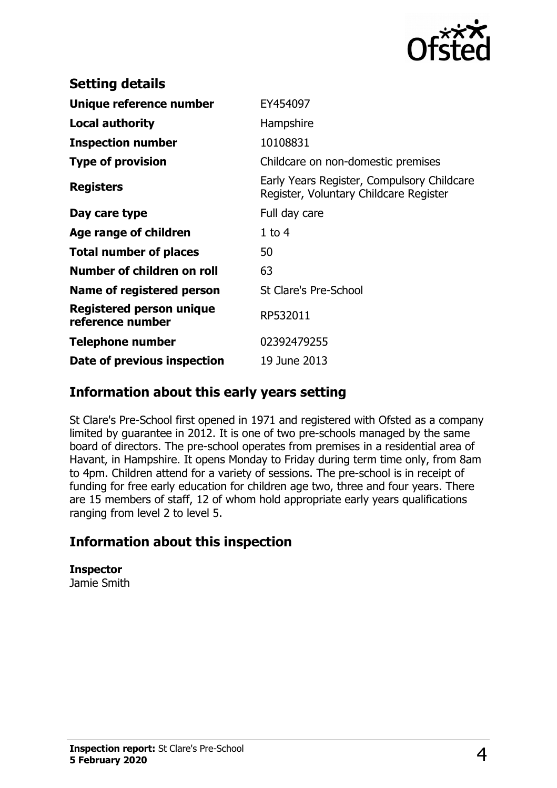

| <b>Setting details</b>                              |                                                                                      |
|-----------------------------------------------------|--------------------------------------------------------------------------------------|
| Unique reference number                             | EY454097                                                                             |
| <b>Local authority</b>                              | Hampshire                                                                            |
| <b>Inspection number</b>                            | 10108831                                                                             |
| <b>Type of provision</b>                            | Childcare on non-domestic premises                                                   |
| <b>Registers</b>                                    | Early Years Register, Compulsory Childcare<br>Register, Voluntary Childcare Register |
| Day care type                                       | Full day care                                                                        |
| Age range of children                               | $1$ to $4$                                                                           |
| <b>Total number of places</b>                       | 50                                                                                   |
| Number of children on roll                          | 63                                                                                   |
| Name of registered person                           | <b>St Clare's Pre-School</b>                                                         |
| <b>Registered person unique</b><br>reference number | RP532011                                                                             |
| <b>Telephone number</b>                             | 02392479255                                                                          |
| Date of previous inspection                         | 19 June 2013                                                                         |

### **Information about this early years setting**

St Clare's Pre-School first opened in 1971 and registered with Ofsted as a company limited by guarantee in 2012. It is one of two pre-schools managed by the same board of directors. The pre-school operates from premises in a residential area of Havant, in Hampshire. It opens Monday to Friday during term time only, from 8am to 4pm. Children attend for a variety of sessions. The pre-school is in receipt of funding for free early education for children age two, three and four years. There are 15 members of staff, 12 of whom hold appropriate early years qualifications ranging from level 2 to level 5.

## **Information about this inspection**

**Inspector** Jamie Smith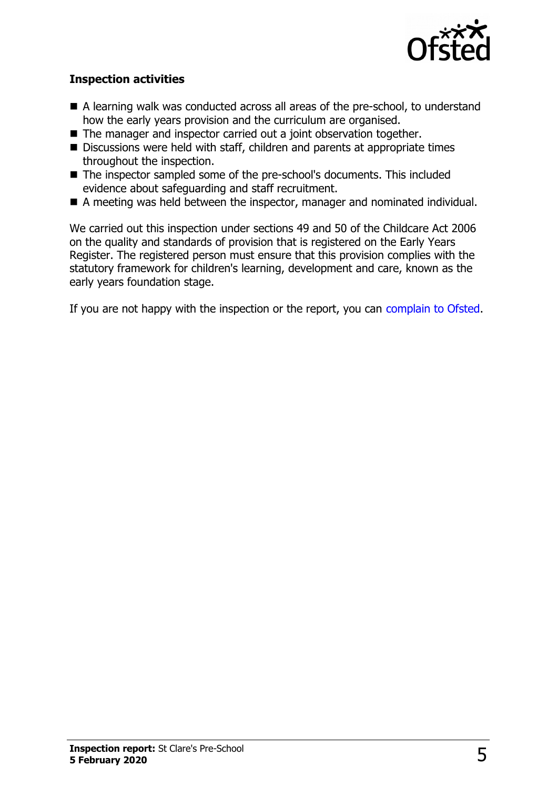

#### **Inspection activities**

- $\blacksquare$  A learning walk was conducted across all areas of the pre-school, to understand how the early years provision and the curriculum are organised.
- The manager and inspector carried out a joint observation together.
- $\blacksquare$  Discussions were held with staff, children and parents at appropriate times throughout the inspection.
- The inspector sampled some of the pre-school's documents. This included evidence about safeguarding and staff recruitment.
- A meeting was held between the inspector, manager and nominated individual.

We carried out this inspection under sections 49 and 50 of the Childcare Act 2006 on the quality and standards of provision that is registered on the Early Years Register. The registered person must ensure that this provision complies with the statutory framework for children's learning, development and care, known as the early years foundation stage.

If you are not happy with the inspection or the report, you can [complain to Ofsted.](http://www.gov.uk/complain-ofsted-report)